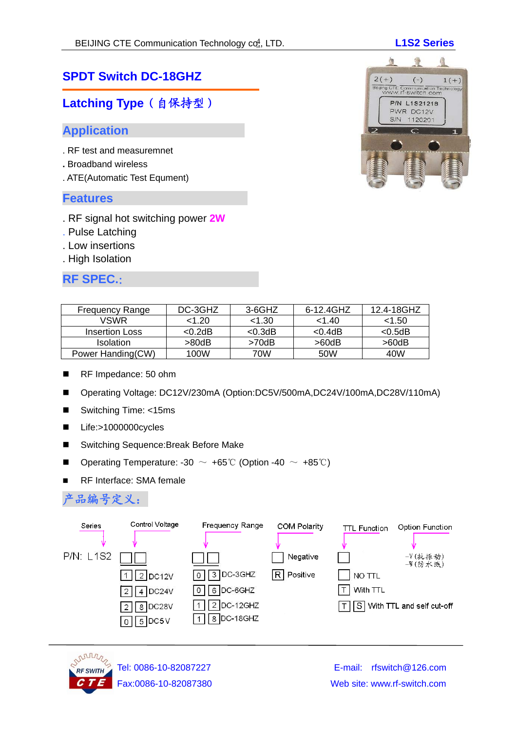# **SPDT Switch DC-18GHZ**

# **Latching Type**(自保持型)

#### **Application**

- . RF test and measuremnet
- **.** Broadband wireless
- . ATE(Automatic Test Equment)

#### **Features**

- . RF signal hot switching power **2W**
- . Pulse Latching
- . Low insertions
- . High Isolation

## **RF SPEC.**:

| <b>Frequency Range</b> | DC-3GHZ   | 3-6GHZ      | 6-12.4GHZ   | 12.4-18GHZ |
|------------------------|-----------|-------------|-------------|------------|
| VSWR                   | < 1.20    | < 1.30      | $<$ 1.40    | < 1.50     |
| Insertion Loss         | $<$ 0.2dB | $< 0.3$ dB  | $< 0.4$ dB  | $< 0.5$ dB |
| <b>Isolation</b>       | >80dB     | $>70$ d $B$ | $>60$ d $B$ | $>60$ dB   |
| Power Handing(CW)      | 100W      | 70W         | 50W         | 40W        |

- RF Impedance: 50 ohm
- Operating Voltage: DC12V/230mA (Option:DC5V/500mA,DC24V/100mA,DC28V/110mA)
- Switching Time: <15ms
- Life:>1000000cycles
- Switching Sequence: Break Before Make
- **■** Operating Temperature: -30  $\sim$  +65°C (Option -40  $\sim$  +85°C)
- RF Interface: SMA female

### 产品编号定义:





Tel: 0086-10-82087227 E-mail: rfswitch@126.com Fax:0086-10-82087380 Web site: www.rf-switch.com

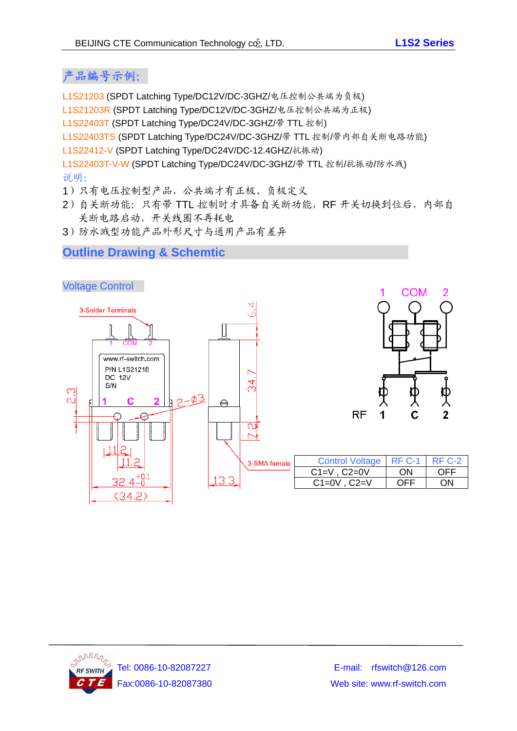## 产品编号示例:

L1S21203 (SPDT Latching Type/DC12V/DC-3GHZ/电压控制公共端为负极)

L1S21203R (SPDT Latching Type/DC12V/DC-3GHZ/电压控制公共端为正极)

L1S22403T (SPDT Latching Type/DC24V/DC-3GHZ/带 TTL 控制)

L1S22403TS (SPDT Latching Type/DC24V/DC-3GHZ/带 TTL 控制/带内部自关断电路功能)

L1S22412-V (SPDT Latching Type/DC24V/DC-12.4GHZ/抗振动)

L1S22403T-V-W (SPDT Latching Type/DC24V/DC-3GHZ/带 TTL 控制/抗振动/防水溅)

说明:

1)只有电压控制型产品,公共端才有正极、负极定义

- 2)自关断功能:只有带 TTL 控制时才具备自关断功能,RF 开关切换到位后,内部自 关断电路启动,开关线圈不再耗电
- 3)防水溅型功能产品外形尺寸与通用产品有差异

## **Outline Drawing & Schemtic**





| SMA female | Control Voltage   RF C-1   RF C-2 |     |     |
|------------|-----------------------------------|-----|-----|
|            | $C1=V$ . $C2=0V$                  | ON  | NFF |
|            | $C1=0V$ . $C2=V$                  | ∩⊏⊑ |     |



Tel: 0086-10-82087227 E-mail: rfswitch@126.com Fax:0086-10-82087380 Web site: www.rf-switch.com